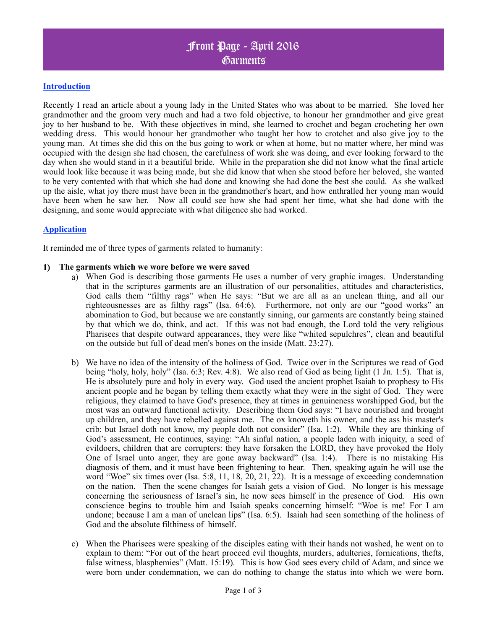# Front Page - April 2016 Garments

### **Introduction**

Recently I read an article about a young lady in the United States who was about to be married. She loved her grandmother and the groom very much and had a two fold objective, to honour her grandmother and give great joy to her husband to be. With these objectives in mind, she learned to crochet and began crocheting her own wedding dress. This would honour her grandmother who taught her how to crotchet and also give joy to the young man. At times she did this on the bus going to work or when at home, but no matter where, her mind was occupied with the design she had chosen, the carefulness of work she was doing, and ever looking forward to the day when she would stand in it a beautiful bride. While in the preparation she did not know what the final article would look like because it was being made, but she did know that when she stood before her beloved, she wanted to be very contented with that which she had done and knowing she had done the best she could. As she walked up the aisle, what joy there must have been in the grandmother's heart, and how enthralled her young man would have been when he saw her. Now all could see how she had spent her time, what she had done with the designing, and some would appreciate with what diligence she had worked.

#### **Application**

It reminded me of three types of garments related to humanity:

#### **1) The garments which we wore before we were saved**

- a) When God is describing those garments He uses a number of very graphic images. Understanding that in the scriptures garments are an illustration of our personalities, attitudes and characteristics, God calls them "filthy rags" when He says: "But we are all as an unclean thing, and all our righteousnesses are as filthy rags" (Isa. 64:6). Furthermore, not only are our "good works" an abomination to God, but because we are constantly sinning, our garments are constantly being stained by that which we do, think, and act. If this was not bad enough, the Lord told the very religious Pharisees that despite outward appearances, they were like "whited sepulchres", clean and beautiful on the outside but full of dead men's bones on the inside (Matt. 23:27).
- b) We have no idea of the intensity of the holiness of God. Twice over in the Scriptures we read of God being "holy, holy, holy" (Isa. 6:3; Rev. 4:8). We also read of God as being light (1 Jn. 1:5). That is, He is absolutely pure and holy in every way. God used the ancient prophet Isaiah to prophesy to His ancient people and he began by telling them exactly what they were in the sight of God. They were religious, they claimed to have God's presence, they at times in genuineness worshipped God, but the most was an outward functional activity. Describing them God says: "I have nourished and brought up children, and they have rebelled against me. The ox knoweth his owner, and the ass his master's crib: but Israel doth not know, my people doth not consider" (Isa. 1:2). While they are thinking of God's assessment, He continues, saying: "Ah sinful nation, a people laden with iniquity, a seed of evildoers, children that are corrupters: they have forsaken the LORD, they have provoked the Holy One of Israel unto anger, they are gone away backward" (Isa. 1:4). There is no mistaking His diagnosis of them, and it must have been frightening to hear. Then, speaking again he will use the word "Woe" six times over (Isa. 5:8, 11, 18, 20, 21, 22). It is a message of exceeding condemnation on the nation. Then the scene changes for Isaiah gets a vision of God. No longer is his message concerning the seriousness of Israel's sin, he now sees himself in the presence of God. His own conscience begins to trouble him and Isaiah speaks concerning himself: "Woe is me! For I am undone; because I am a man of unclean lips" (Isa. 6:5). Isaiah had seen something of the holiness of God and the absolute filthiness of himself.
- c) When the Pharisees were speaking of the disciples eating with their hands not washed, he went on to explain to them: "For out of the heart proceed evil thoughts, murders, adulteries, fornications, thefts, false witness, blasphemies" (Matt. 15:19). This is how God sees every child of Adam, and since we were born under condemnation, we can do nothing to change the status into which we were born.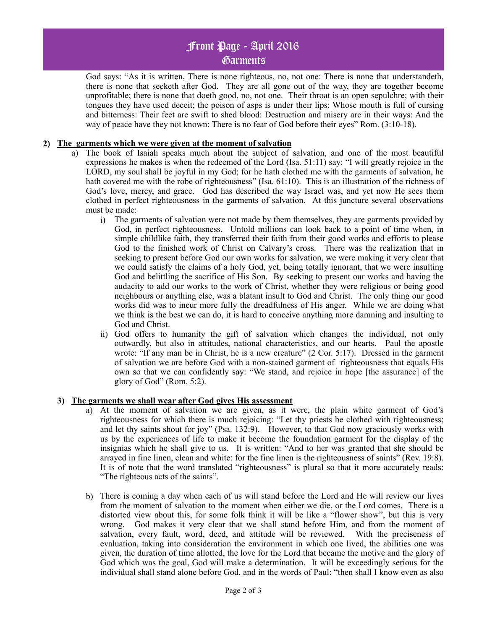# Front Page - April 2016 Garments

God says: "As it is written, There is none righteous, no, not one: There is none that understandeth, there is none that seeketh after God. They are all gone out of the way, they are together become unprofitable; there is none that doeth good, no, not one. Their throat is an open sepulchre; with their tongues they have used deceit; the poison of asps is under their lips: Whose mouth is full of cursing and bitterness: Their feet are swift to shed blood: Destruction and misery are in their ways: And the way of peace have they not known: There is no fear of God before their eyes" Rom. (3:10-18).

### **2) The garments which we were given at the moment of salvation**

- a) The book of Isaiah speaks much about the subject of salvation, and one of the most beautiful expressions he makes is when the redeemed of the Lord (Isa. 51:11) say: "I will greatly rejoice in the LORD, my soul shall be joyful in my God; for he hath clothed me with the garments of salvation, he hath covered me with the robe of righteousness" (Isa. 61:10). This is an illustration of the richness of God's love, mercy, and grace. God has described the way Israel was, and yet now He sees them clothed in perfect righteousness in the garments of salvation. At this juncture several observations must be made:
	- i) The garments of salvation were not made by them themselves, they are garments provided by God, in perfect righteousness. Untold millions can look back to a point of time when, in simple childlike faith, they transferred their faith from their good works and efforts to please God to the finished work of Christ on Calvary's cross. There was the realization that in seeking to present before God our own works for salvation, we were making it very clear that we could satisfy the claims of a holy God, yet, being totally ignorant, that we were insulting God and belittling the sacrifice of His Son. By seeking to present our works and having the audacity to add our works to the work of Christ, whether they were religious or being good neighbours or anything else, was a blatant insult to God and Christ. The only thing our good works did was to incur more fully the dreadfulness of His anger. While we are doing what we think is the best we can do, it is hard to conceive anything more damning and insulting to God and Christ.
	- ii) God offers to humanity the gift of salvation which changes the individual, not only outwardly, but also in attitudes, national characteristics, and our hearts. Paul the apostle wrote: "If any man be in Christ, he is a new creature" (2 Cor. 5:17). Dressed in the garment of salvation we are before God with a non-stained garment of righteousness that equals His own so that we can confidently say: "We stand, and rejoice in hope [the assurance] of the glory of God" (Rom. 5:2).

### **3) The garments we shall wear after God gives His assessment**

- a) At the moment of salvation we are given, as it were, the plain white garment of God's righteousness for which there is much rejoicing: "Let thy priests be clothed with righteousness; and let thy saints shout for joy" (Psa. 132:9). However, to that God now graciously works with us by the experiences of life to make it become the foundation garment for the display of the insignias which he shall give to us. It is written: "And to her was granted that she should be arrayed in fine linen, clean and white: for the fine linen is the righteousness of saints" (Rev. 19:8). It is of note that the word translated "righteousness" is plural so that it more accurately reads: "The righteous acts of the saints".
- b) There is coming a day when each of us will stand before the Lord and He will review our lives from the moment of salvation to the moment when either we die, or the Lord comes. There is a distorted view about this, for some folk think it will be like a "flower show", but this is very wrong. God makes it very clear that we shall stand before Him, and from the moment of salvation, every fault, word, deed, and attitude will be reviewed. With the preciseness of evaluation, taking into consideration the environment in which one lived, the abilities one was given, the duration of time allotted, the love for the Lord that became the motive and the glory of God which was the goal, God will make a determination. It will be exceedingly serious for the individual shall stand alone before God, and in the words of Paul: "then shall I know even as also